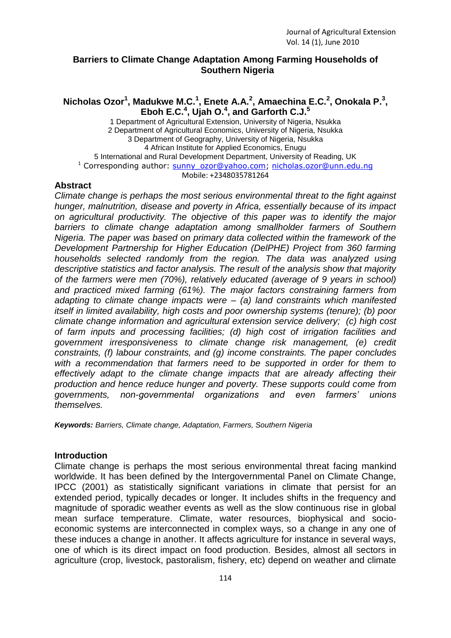## **Barriers to Climate Change Adaptation Among Farming Households of Southern Nigeria**

## **Nicholas Ozor<sup>1</sup> , Madukwe M.C.<sup>1</sup> , Enete A.A.<sup>2</sup> , Amaechina E.C.<sup>2</sup> , Onokala P.<sup>3</sup> , Eboh E.C.<sup>4</sup> , Ujah O.<sup>4</sup> , and Garforth C.J.<sup>5</sup>**

1 Department of Agricultural Extension, University of Nigeria, Nsukka 2 Department of Agricultural Economics, University of Nigeria, Nsukka 3 Department of Geography, University of Nigeria, Nsukka 4 African Institute for Applied Economics, Enugu 5 International and Rural Development Department, University of Reading, UK <sup>1</sup> Corresponding author: [sunny\\_ozor@yahoo.com;](mailto:sunny_ozor@yahoo.com) [nicholas.ozor@unn.edu.ng](mailto:nicholas.ozor@unn.edu.ng) Mobile: +2348035781264

#### **Abstract**

*Climate change is perhaps the most serious environmental threat to the fight against hunger, malnutrition, disease and poverty in Africa, essentially because of its impact on agricultural productivity. The objective of this paper was to identify the major barriers to climate change adaptation among smallholder farmers of Southern Nigeria. The paper was based on primary data collected within the framework of the Development Partnership for Higher Education (DelPHE) Project from 360 farming households selected randomly from the region. The data was analyzed using descriptive statistics and factor analysis. The result of the analysis show that majority of the farmers were men (70%), relatively educated (average of 9 years in school) and practiced mixed farming (61%). The major factors constraining farmers from adapting to climate change impacts were – (a) land constraints which manifested itself in limited availability, high costs and poor ownership systems (tenure); (b) poor climate change information and agricultural extension service delivery; (c) high cost of farm inputs and processing facilities; (d) high cost of irrigation facilities and government irresponsiveness to climate change risk management, (e) credit constraints, (f) labour constraints, and (g) income constraints. The paper concludes with a recommendation that farmers need to be supported in order for them to effectively adapt to the climate change impacts that are already affecting their production and hence reduce hunger and poverty. These supports could come from governments, non-governmental organizations and even farmers' unions themselves.* 

*Keywords: Barriers, Climate change, Adaptation, Farmers, Southern Nigeria*

#### **Introduction**

Climate change is perhaps the most serious environmental threat facing mankind worldwide. It has been defined by the Intergovernmental Panel on Climate Change, IPCC (2001) as statistically significant variations in climate that persist for an extended period, typically decades or longer. It includes shifts in the frequency and magnitude of sporadic weather events as well as the slow continuous rise in global mean surface temperature. Climate, water resources, biophysical and socioeconomic systems are interconnected in complex ways, so a change in any one of these induces a change in another. It affects agriculture for instance in several ways, one of which is its direct impact on food production. Besides, almost all sectors in agriculture (crop, livestock, pastoralism, fishery, etc) depend on weather and climate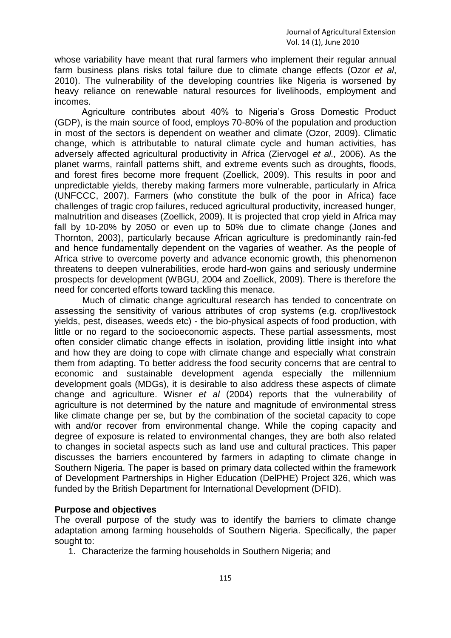whose variability have meant that rural farmers who implement their regular annual farm business plans risks total failure due to climate change effects (Ozor *et al*, 2010). The vulnerability of the developing countries like Nigeria is worsened by heavy reliance on renewable natural resources for livelihoods, employment and incomes.

Agriculture contributes about 40% to Nigeria's Gross Domestic Product (GDP), is the main source of food, employs 70-80% of the population and production in most of the sectors is dependent on weather and climate (Ozor, 2009). Climatic change, which is attributable to natural climate cycle and human activities, has adversely affected agricultural productivity in Africa (Ziervogel *et al.,* 2006). As the planet warms, rainfall patterns shift, and extreme events such as droughts, floods, and forest fires become more frequent (Zoellick, 2009). This results in poor and unpredictable yields, thereby making farmers more vulnerable, particularly in Africa (UNFCCC, 2007). Farmers (who constitute the bulk of the poor in Africa) face challenges of tragic crop failures, reduced agricultural productivity, increased hunger, malnutrition and diseases (Zoellick, 2009). It is projected that crop yield in Africa may fall by 10-20% by 2050 or even up to 50% due to climate change (Jones and Thornton, 2003), particularly because African agriculture is predominantly rain-fed and hence fundamentally dependent on the vagaries of weather. As the people of Africa strive to overcome poverty and advance economic growth, this phenomenon threatens to deepen vulnerabilities, erode hard-won gains and seriously undermine prospects for development (WBGU, 2004 and Zoellick, 2009). There is therefore the need for concerted efforts toward tackling this menace.

 Much of climatic change agricultural research has tended to concentrate on assessing the sensitivity of various attributes of crop systems (e.g. crop/livestock yields, pest, diseases, weeds etc) - the bio-physical aspects of food production, with little or no regard to the socioeconomic aspects. These partial assessments, most often consider climatic change effects in isolation, providing little insight into what and how they are doing to cope with climate change and especially what constrain them from adapting. To better address the food security concerns that are central to economic and sustainable development agenda especially the millennium development goals (MDGs), it is desirable to also address these aspects of climate change and agriculture. Wisner *et al* (2004) reports that the vulnerability of agriculture is not determined by the nature and magnitude of environmental stress like climate change per se, but by the combination of the societal capacity to cope with and/or recover from environmental change. While the coping capacity and degree of exposure is related to environmental changes, they are both also related to changes in societal aspects such as land use and cultural practices. This paper discusses the barriers encountered by farmers in adapting to climate change in Southern Nigeria. The paper is based on primary data collected within the framework of Development Partnerships in Higher Education (DelPHE) Project 326, which was funded by the British Department for International Development (DFID).

#### **Purpose and objectives**

The overall purpose of the study was to identify the barriers to climate change adaptation among farming households of Southern Nigeria. Specifically, the paper sought to:

1. Characterize the farming households in Southern Nigeria; and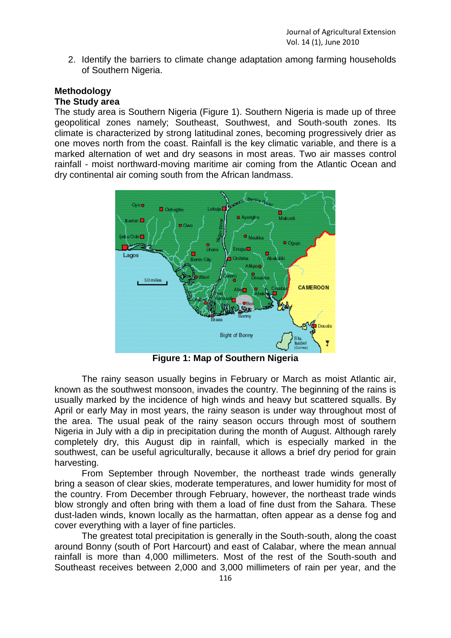2. Identify the barriers to climate change adaptation among farming households of Southern Nigeria.

# **Methodology**

## **The Study area**

The study area is Southern Nigeria (Figure 1). Southern Nigeria is made up of three geopolitical zones namely; Southeast, Southwest, and South-south zones. Its climate is characterized by strong latitudinal zones, becoming progressively drier as one moves north from the coast. Rainfall is the key climatic variable, and there is a marked alternation of wet and dry seasons in most areas. Two air masses control rainfall - moist northward-moving maritime air coming from the Atlantic Ocean and dry continental air coming south from the African landmass.



**Figure 1: Map of Southern Nigeria**

The rainy season usually begins in February or March as moist Atlantic air, known as the southwest monsoon, invades the country. The beginning of the rains is usually marked by the incidence of high winds and heavy but scattered squalls. By April or early May in most years, the rainy season is under way throughout most of the area. The usual peak of the rainy season occurs through most of southern Nigeria in July with a dip in precipitation during the month of August. Although rarely completely dry, this August dip in rainfall, which is especially marked in the southwest, can be useful agriculturally, because it allows a brief dry period for grain harvesting.

From September through November, the northeast trade winds generally bring a season of clear skies, moderate temperatures, and lower humidity for most of the country. From December through February, however, the northeast trade winds blow strongly and often bring with them a load of fine dust from the Sahara. These dust-laden winds, known locally as the harmattan, often appear as a dense fog and cover everything with a layer of fine particles.

The greatest total precipitation is generally in the South-south, along the coast around Bonny (south of Port Harcourt) and east of Calabar, where the mean annual rainfall is more than 4,000 millimeters. Most of the rest of the South-south and Southeast receives between 2,000 and 3,000 millimeters of rain per year, and the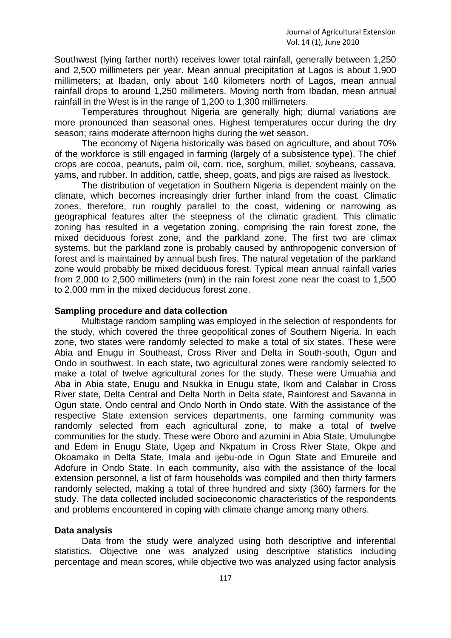Southwest (lying farther north) receives lower total rainfall, generally between 1,250 and 2,500 millimeters per year. Mean annual precipitation at Lagos is about 1,900 millimeters; at Ibadan, only about 140 kilometers north of Lagos, mean annual rainfall drops to around 1,250 millimeters. Moving north from Ibadan, mean annual rainfall in the West is in the range of 1,200 to 1,300 millimeters.

Temperatures throughout Nigeria are generally high; diurnal variations are more pronounced than seasonal ones. Highest temperatures occur during the dry season; rains moderate afternoon highs during the wet season.

The economy of Nigeria historically was based on agriculture, and about 70% of the workforce is still engaged in farming (largely of a subsistence type). The chief crops are cocoa, peanuts, palm oil, corn, rice, sorghum, millet, soybeans, cassava, yams, and rubber. In addition, cattle, sheep, goats, and pigs are raised as livestock.

The distribution of vegetation in Southern Nigeria is dependent mainly on the climate, which becomes increasingly drier further inland from the coast. Climatic zones, therefore, run roughly parallel to the coast, widening or narrowing as geographical features alter the steepness of the climatic gradient. This climatic zoning has resulted in a vegetation zoning, comprising the rain forest zone, the mixed deciduous forest zone, and the parkland zone. The first two are climax systems, but the parkland zone is probably caused by anthropogenic conversion of forest and is maintained by annual bush fires. The natural vegetation of the parkland zone would probably be mixed deciduous forest. Typical mean annual rainfall varies from 2,000 to 2,500 millimeters (mm) in the rain forest zone near the coast to 1,500 to 2,000 mm in the mixed deciduous forest zone.

#### **Sampling procedure and data collection**

Multistage random sampling was employed in the selection of respondents for the study, which covered the three geopolitical zones of Southern Nigeria. In each zone, two states were randomly selected to make a total of six states. These were Abia and Enugu in Southeast, Cross River and Delta in South-south, Ogun and Ondo in southwest. In each state, two agricultural zones were randomly selected to make a total of twelve agricultural zones for the study. These were Umuahia and Aba in Abia state, Enugu and Nsukka in Enugu state, Ikom and Calabar in Cross River state, Delta Central and Delta North in Delta state, Rainforest and Savanna in Ogun state, Ondo central and Ondo North in Ondo state. With the assistance of the respective State extension services departments, one farming community was randomly selected from each agricultural zone, to make a total of twelve communities for the study. These were Oboro and azumini in Abia State, Umulungbe and Edem in Enugu State, Ugep and Nkpatum in Cross River State, Okpe and Okoamako in Delta State, Imala and ijebu-ode in Ogun State and Emureile and Adofure in Ondo State. In each community, also with the assistance of the local extension personnel, a list of farm households was compiled and then thirty farmers randomly selected, making a total of three hundred and sixty (360) farmers for the study. The data collected included socioeconomic characteristics of the respondents and problems encountered in coping with climate change among many others.

#### **Data analysis**

Data from the study were analyzed using both descriptive and inferential statistics. Objective one was analyzed using descriptive statistics including percentage and mean scores, while objective two was analyzed using factor analysis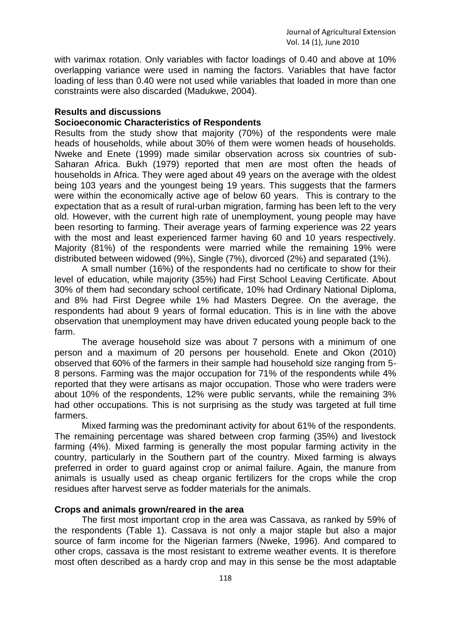with varimax rotation. Only variables with factor loadings of 0.40 and above at 10% overlapping variance were used in naming the factors. Variables that have factor loading of less than 0.40 were not used while variables that loaded in more than one constraints were also discarded (Madukwe, 2004).

#### **Results and discussions**

### **Socioeconomic Characteristics of Respondents**

Results from the study show that majority (70%) of the respondents were male heads of households, while about 30% of them were women heads of households. Nweke and Enete (1999) made similar observation across six countries of sub-Saharan Africa. Bukh (1979) reported that men are most often the heads of households in Africa. They were aged about 49 years on the average with the oldest being 103 years and the youngest being 19 years. This suggests that the farmers were within the economically active age of below 60 years. This is contrary to the expectation that as a result of rural-urban migration, farming has been left to the very old. However, with the current high rate of unemployment, young people may have been resorting to farming. Their average years of farming experience was 22 years with the most and least experienced farmer having 60 and 10 years respectively. Majority (81%) of the respondents were married while the remaining 19% were distributed between widowed (9%), Single (7%), divorced (2%) and separated (1%).

A small number (16%) of the respondents had no certificate to show for their level of education, while majority (35%) had First School Leaving Certificate. About 30% of them had secondary school certificate, 10% had Ordinary National Diploma, and 8% had First Degree while 1% had Masters Degree. On the average, the respondents had about 9 years of formal education. This is in line with the above observation that unemployment may have driven educated young people back to the farm.

The average household size was about 7 persons with a minimum of one person and a maximum of 20 persons per household. Enete and Okon (2010) observed that 60% of the farmers in their sample had household size ranging from 5- 8 persons. Farming was the major occupation for 71% of the respondents while 4% reported that they were artisans as major occupation. Those who were traders were about 10% of the respondents, 12% were public servants, while the remaining 3% had other occupations. This is not surprising as the study was targeted at full time farmers.

Mixed farming was the predominant activity for about 61% of the respondents. The remaining percentage was shared between crop farming (35%) and livestock farming (4%). Mixed farming is generally the most popular farming activity in the country, particularly in the Southern part of the country. Mixed farming is always preferred in order to guard against crop or animal failure. Again, the manure from animals is usually used as cheap organic fertilizers for the crops while the crop residues after harvest serve as fodder materials for the animals.

### **Crops and animals grown/reared in the area**

The first most important crop in the area was Cassava, as ranked by 59% of the respondents (Table 1). Cassava is not only a major staple but also a major source of farm income for the Nigerian farmers (Nweke, 1996). And compared to other crops, cassava is the most resistant to extreme weather events. It is therefore most often described as a hardy crop and may in this sense be the most adaptable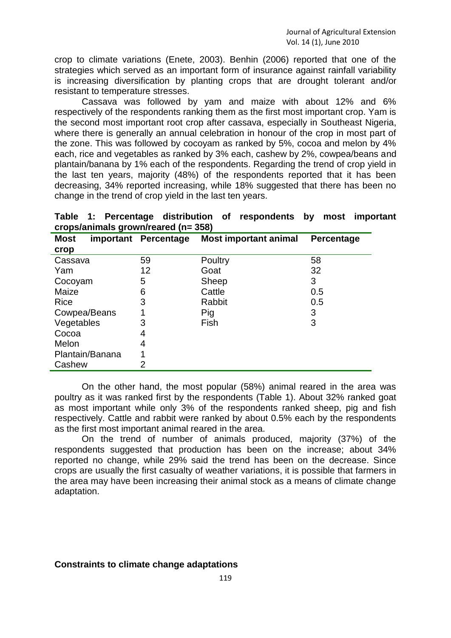crop to climate variations (Enete, 2003). Benhin (2006) reported that one of the strategies which served as an important form of insurance against rainfall variability is increasing diversification by planting crops that are drought tolerant and/or resistant to temperature stresses.

Cassava was followed by yam and maize with about 12% and 6% respectively of the respondents ranking them as the first most important crop. Yam is the second most important root crop after cassava, especially in Southeast Nigeria, where there is generally an annual celebration in honour of the crop in most part of the zone. This was followed by cocoyam as ranked by 5%, cocoa and melon by 4% each, rice and vegetables as ranked by 3% each, cashew by 2%, cowpea/beans and plantain/banana by 1% each of the respondents. Regarding the trend of crop yield in the last ten years, majority (48%) of the respondents reported that it has been decreasing, 34% reported increasing, while 18% suggested that there has been no change in the trend of crop yield in the last ten years.

|  |                                     | Table 1: Percentage distribution of respondents by most important |  |  |
|--|-------------------------------------|-------------------------------------------------------------------|--|--|
|  | crops/animals grown/reared (n= 358) |                                                                   |  |  |

| <b>Most</b>     | important Percentage | <b>Most important animal</b> | <b>Percentage</b> |  |  |
|-----------------|----------------------|------------------------------|-------------------|--|--|
| crop            |                      |                              |                   |  |  |
| Cassava         | 59                   | Poultry                      | 58                |  |  |
| Yam             | 12                   | Goat                         | 32                |  |  |
| Cocoyam         | 5                    | Sheep                        | 3                 |  |  |
| Maize           | 6                    | Cattle                       | 0.5               |  |  |
| Rice            | 3                    | Rabbit                       | 0.5               |  |  |
| Cowpea/Beans    |                      | Pig                          | 3                 |  |  |
| Vegetables      | 3                    | Fish                         | 3                 |  |  |
| Cocoa           | 4                    |                              |                   |  |  |
| Melon           | 4                    |                              |                   |  |  |
| Plantain/Banana |                      |                              |                   |  |  |
| Cashew          | 2                    |                              |                   |  |  |

On the other hand, the most popular (58%) animal reared in the area was poultry as it was ranked first by the respondents (Table 1). About 32% ranked goat as most important while only 3% of the respondents ranked sheep, pig and fish respectively. Cattle and rabbit were ranked by about 0.5% each by the respondents as the first most important animal reared in the area.

On the trend of number of animals produced, majority (37%) of the respondents suggested that production has been on the increase; about 34% reported no change, while 29% said the trend has been on the decrease. Since crops are usually the first casualty of weather variations, it is possible that farmers in the area may have been increasing their animal stock as a means of climate change adaptation.

#### **Constraints to climate change adaptations**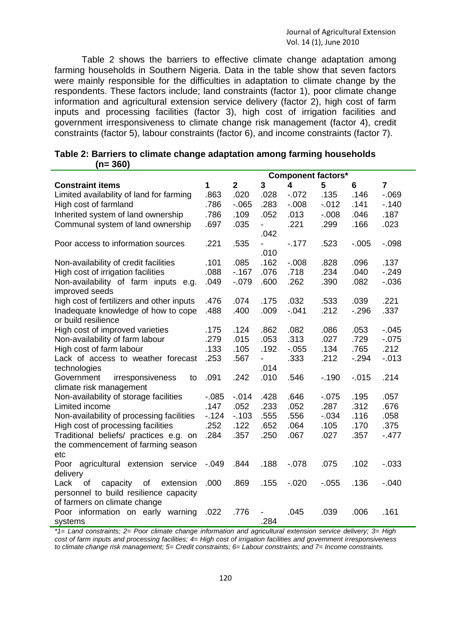Table 2 shows the barriers to effective climate change adaptation among farming households in Southern Nigeria. Data in the table show that seven factors were mainly responsible for the difficulties in adaptation to climate change by the respondents. These factors include; land constraints (factor 1), poor climate change information and agricultural extension service delivery (factor 2), high cost of farm inputs and processing facilities (factor 3), high cost of irrigation facilities and government irresponsiveness to climate change risk management (factor 4), credit constraints (factor 5), labour constraints (factor 6), and income constraints (factor 7).

|                                           |          |              |                          | <b>Component factors*</b> |          |          |                |
|-------------------------------------------|----------|--------------|--------------------------|---------------------------|----------|----------|----------------|
| <b>Constraint items</b>                   | 1        | $\mathbf{2}$ | 3                        | $\overline{\mathbf{4}}$   | 5        | 6        | $\overline{7}$ |
| Limited availability of land for farming  | .863     | .020         | .028                     | $-.072$                   | .135     | .146     | $-069$         |
| High cost of farmland                     | .786     | $-065$       | .283                     | $-0.008$                  | $-0.012$ | .141     | $-140$         |
| Inherited system of land ownership        | .786     | .109         | .052                     | .013                      | $-0.008$ | .046     | .187           |
| Communal system of land ownership         | .697     | .035         |                          | .221                      | .299     | .166     | .023           |
|                                           |          |              | .042                     |                           |          |          |                |
| Poor access to information sources        | .221     | .535         | $\overline{\phantom{0}}$ | $-177$                    | .523     | $-0.005$ | $-0.098$       |
|                                           |          |              | .010                     |                           |          |          |                |
| Non-availability of credit facilities     | .101     | .085         | .162                     | $-0.008$                  | .828     | .096     | .137           |
| High cost of irrigation facilities        | .088     | $-167$       | .076                     | .718                      | .234     | .040     | $-0.249$       |
| Non-availability of farm inputs e.g.      | .049     | $-079$       | .600                     | .262                      | .390     | .082     | $-0.036$       |
| improved seeds                            |          |              |                          |                           |          |          |                |
| high cost of fertilizers and other inputs | .476     | .074         | .175                     | .032                      | .533     | .039     | .221           |
| Inadequate knowledge of how to cope       | .488     | .400         | .009                     | $-0.041$                  | .212     | $-296$   | .337           |
| or build resilience                       |          |              |                          |                           |          |          |                |
| High cost of improved varieties           | .175     | .124         | .862                     | .082                      | .086     | .053     | $-0.045$       |
| Non-availability of farm labour           | .279     | .015         | .053                     | .313                      | .027     | .729     | $-075$         |
| High cost of farm labour                  | .133     | .105         | .192                     | $-0.055$                  | .134     | .765     | .212           |
| Lack of access to weather forecast        | .253     | .567         | $\overline{\phantom{0}}$ | .333                      | .212     | $-294$   | $-0.013$       |
| technologies                              |          |              | .014                     |                           |          |          |                |
| Government<br>irresponsiveness<br>to      | .091     | .242         | .010                     | .546                      | $-.190$  | $-0.015$ | .214           |
| climate risk management                   |          |              |                          |                           |          |          |                |
| Non-availability of storage facilities    | $-0.085$ | $-0.14$      | .428                     | .646                      | $-0.075$ | .195     | .057           |
| Limited income                            | .147     | .052         | .233                     | .052                      | .287     | .312     | .676           |
| Non-availability of processing facilities | $-124$   | $-.103$      | .555                     | .556                      | $-0.034$ | .116     | .058           |
| High cost of processing facilities        | .252     | .122         | .652                     | .064                      | .105     | .170     | .375           |
| Traditional beliefs/ practices e.g. on    | .284     | .357         | .250                     | .067                      | .027     | .357     | $-477$         |
| the commencement of farming season        |          |              |                          |                           |          |          |                |
| etc                                       |          |              |                          |                           |          |          |                |
| agricultural extension<br>Poor<br>service | $-0.049$ | .844         | .188                     | $-078$                    | .075     | .102     | $-0.033$       |
| delivery                                  |          |              |                          |                           |          |          |                |
| Lack<br>capacity<br>of<br>extension<br>of | .000     | .869         | .155                     | $-0.020$                  | $-0.055$ | .136     | $-.040$        |
| personnel to build resilience capacity    |          |              |                          |                           |          |          |                |
| of farmers on climate change              |          |              |                          |                           |          |          |                |
| Poor information on early<br>warning      | .022     | .776         |                          | .045                      | .039     | .006     | .161           |
| systems                                   |          |              | .284                     |                           |          |          |                |

|           | Table 2: Barriers to climate change adaptation among farming households |
|-----------|-------------------------------------------------------------------------|
| $(n=360)$ |                                                                         |

*\*1= Land constraints; 2= Poor climate change information and agricultural extension service delivery; 3= High cost of farm inputs and processing facilities; 4= High cost of irrigation facilities and government irresponsiveness to climate change risk management; 5= Credit constraints; 6= Labour constraints; and 7= Income constraints.*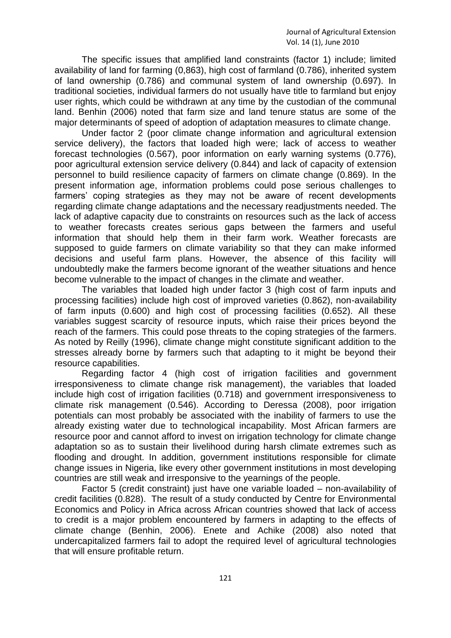The specific issues that amplified land constraints (factor 1) include; limited availability of land for farming (0,863), high cost of farmland (0.786), inherited system of land ownership (0.786) and communal system of land ownership (0.697). In traditional societies, individual farmers do not usually have title to farmland but enjoy user rights, which could be withdrawn at any time by the custodian of the communal land. Benhin (2006) noted that farm size and land tenure status are some of the major determinants of speed of adoption of adaptation measures to climate change.

Under factor 2 (poor climate change information and agricultural extension service delivery), the factors that loaded high were; lack of access to weather forecast technologies (0.567), poor information on early warning systems (0.776), poor agricultural extension service delivery (0.844) and lack of capacity of extension personnel to build resilience capacity of farmers on climate change (0.869). In the present information age, information problems could pose serious challenges to farmers' coping strategies as they may not be aware of recent developments regarding climate change adaptations and the necessary readjustments needed. The lack of adaptive capacity due to constraints on resources such as the lack of access to weather forecasts creates serious gaps between the farmers and useful information that should help them in their farm work. Weather forecasts are supposed to quide farmers on climate variability so that they can make informed decisions and useful farm plans. However, the absence of this facility will undoubtedly make the farmers become ignorant of the weather situations and hence become vulnerable to the impact of changes in the climate and weather.

The variables that loaded high under factor 3 (high cost of farm inputs and processing facilities) include high cost of improved varieties (0.862), non-availability of farm inputs (0.600) and high cost of processing facilities (0.652). All these variables suggest scarcity of resource inputs, which raise their prices beyond the reach of the farmers. This could pose threats to the coping strategies of the farmers. As noted by Reilly (1996), climate change might constitute significant addition to the stresses already borne by farmers such that adapting to it might be beyond their resource capabilities.

Regarding factor 4 (high cost of irrigation facilities and government irresponsiveness to climate change risk management), the variables that loaded include high cost of irrigation facilities (0.718) and government irresponsiveness to climate risk management (0.546). According to Deressa (2008), poor irrigation potentials can most probably be associated with the inability of farmers to use the already existing water due to technological incapability. Most African farmers are resource poor and cannot afford to invest on irrigation technology for climate change adaptation so as to sustain their livelihood during harsh climate extremes such as flooding and drought. In addition, government institutions responsible for climate change issues in Nigeria, like every other government institutions in most developing countries are still weak and irresponsive to the yearnings of the people.

Factor 5 (credit constraint) just have one variable loaded – non-availability of credit facilities (0.828). The result of a study conducted by Centre for Environmental Economics and Policy in Africa across African countries showed that lack of access to credit is a major problem encountered by farmers in adapting to the effects of climate change (Benhin, 2006). Enete and Achike (2008) also noted that undercapitalized farmers fail to adopt the required level of agricultural technologies that will ensure profitable return.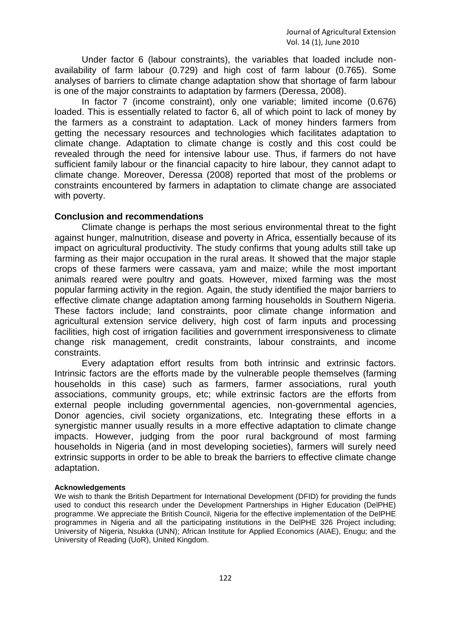Under factor 6 (labour constraints), the variables that loaded include nonavailability of farm labour (0.729) and high cost of farm labour (0.765). Some analyses of barriers to climate change adaptation show that shortage of farm labour is one of the major constraints to adaptation by farmers (Deressa, 2008).

In factor 7 (income constraint), only one variable; limited income (0.676) loaded. This is essentially related to factor 6, all of which point to lack of money by the farmers as a constraint to adaptation. Lack of money hinders farmers from getting the necessary resources and technologies which facilitates adaptation to climate change. Adaptation to climate change is costly and this cost could be revealed through the need for intensive labour use. Thus, if farmers do not have sufficient family labour or the financial capacity to hire labour, they cannot adapt to climate change. Moreover, Deressa (2008) reported that most of the problems or constraints encountered by farmers in adaptation to climate change are associated with poverty.

#### **Conclusion and recommendations**

Climate change is perhaps the most serious environmental threat to the fight against hunger, malnutrition, disease and poverty in Africa, essentially because of its impact on agricultural productivity. The study confirms that young adults still take up farming as their major occupation in the rural areas. It showed that the major staple crops of these farmers were cassava, yam and maize; while the most important animals reared were poultry and goats. However, mixed farming was the most popular farming activity in the region. Again, the study identified the major barriers to effective climate change adaptation among farming households in Southern Nigeria. These factors include; land constraints, poor climate change information and agricultural extension service delivery, high cost of farm inputs and processing facilities, high cost of irrigation facilities and government irresponsiveness to climate change risk management, credit constraints, labour constraints, and income constraints.

Every adaptation effort results from both intrinsic and extrinsic factors. Intrinsic factors are the efforts made by the vulnerable people themselves (farming households in this case) such as farmers, farmer associations, rural youth associations, community groups, etc; while extrinsic factors are the efforts from external people including governmental agencies, non-governmental agencies, Donor agencies, civil society organizations, etc. Integrating these efforts in a synergistic manner usually results in a more effective adaptation to climate change impacts. However, judging from the poor rural background of most farming households in Nigeria (and in most developing societies), farmers will surely need extrinsic supports in order to be able to break the barriers to effective climate change adaptation.

#### **Acknowledgements**

We wish to thank the British Department for International Development (DFID) for providing the funds used to conduct this research under the Development Partnerships in Higher Education (DelPHE) programme. We appreciate the British Council, Nigeria for the effective implementation of the DelPHE programmes in Nigeria and all the participating institutions in the DelPHE 326 Project including; University of Nigeria, Nsukka (UNN); African Institute for Applied Economics (AIAE), Enugu; and the University of Reading (UoR), United Kingdom.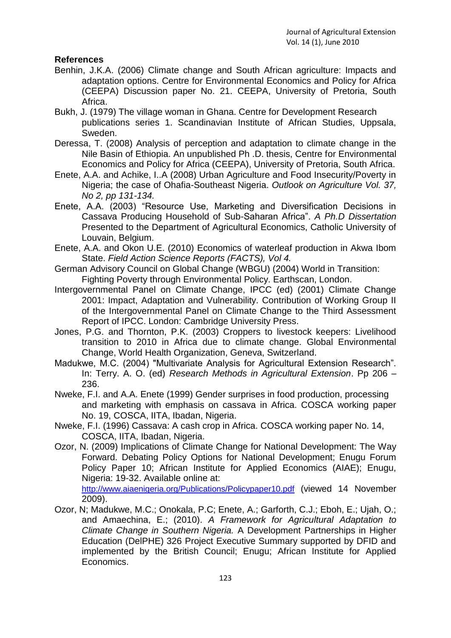## **References**

- Benhin, J.K.A. (2006) Climate change and South African agriculture: Impacts and adaptation options. Centre for Environmental Economics and Policy for Africa (CEEPA) Discussion paper No. 21. CEEPA, University of Pretoria, South Africa.
- Bukh, J. (1979) The village woman in Ghana. Centre for Development Research publications series 1. Scandinavian Institute of African Studies, Uppsala, Sweden.
- Deressa, T. (2008) Analysis of perception and adaptation to climate change in the Nile Basin of Ethiopia. An unpublished Ph .D. thesis, Centre for Environmental Economics and Policy for Africa (CEEPA), University of Pretoria, South Africa.
- Enete, A.A. and Achike, I..A (2008) Urban Agriculture and Food Insecurity/Poverty in Nigeria; the case of Ohafia-Southeast Nigeria. *Outlook on Agriculture Vol. 37, No 2, pp 131-134.*
- Enete, A.A. (2003) "Resource Use, Marketing and Diversification Decisions in Cassava Producing Household of Sub-Saharan Africa‖. *A Ph.D Dissertation*  Presented to the Department of Agricultural Economics, Catholic University of Louvain, Belgium.
- Enete, A.A. and Okon U.E. (2010) Economics of waterleaf production in Akwa Ibom State. *Field Action Science Reports (FACTS), Vol 4.*
- German Advisory Council on Global Change (WBGU) (2004) World in Transition: Fighting Poverty through Environmental Policy. Earthscan, London.
- Intergovernmental Panel on Climate Change, IPCC (ed) (2001) Climate Change 2001: Impact, Adaptation and Vulnerability. Contribution of Working Group II of the Intergovernmental Panel on Climate Change to the Third Assessment Report of IPCC. London: Cambridge University Press.
- Jones, P.G. and Thornton, P.K. (2003) Croppers to livestock keepers: Livelihood transition to 2010 in Africa due to climate change. Global Environmental Change, World Health Organization, Geneva, Switzerland.
- Madukwe, M.C. (2004) "Multivariate Analysis for Agricultural Extension Research". In: Terry. A. O. (ed) *Research Methods in Agricultural Extension*. Pp 206 – 236.
- Nweke, F.I. and A.A. Enete (1999) Gender surprises in food production, processing and marketing with emphasis on cassava in Africa. COSCA working paper No. 19, COSCA, IITA, Ibadan, Nigeria.
- Nweke, F.I. (1996) Cassava: A cash crop in Africa. COSCA working paper No. 14, COSCA, IITA, Ibadan, Nigeria.
- Ozor, N. (2009) Implications of Climate Change for National Development: The Way Forward. Debating Policy Options for National Development; Enugu Forum Policy Paper 10; African Institute for Applied Economics (AIAE); Enugu, Nigeria: 19-32. Available online at:

<http://www.aiaenigeria.org/Publications/Policypaper10.pdf> (viewed 14 November 2009).

Ozor, N; Madukwe, M.C.; Onokala, P.C; Enete, A.; Garforth, C.J.; Eboh, E.; Ujah, O.; and Amaechina, E.; (2010). *A Framework for Agricultural Adaptation to Climate Change in Southern Nigeria.* A Development Partnerships in Higher Education (DelPHE) 326 Project Executive Summary supported by DFID and implemented by the British Council; Enugu; African Institute for Applied Economics.